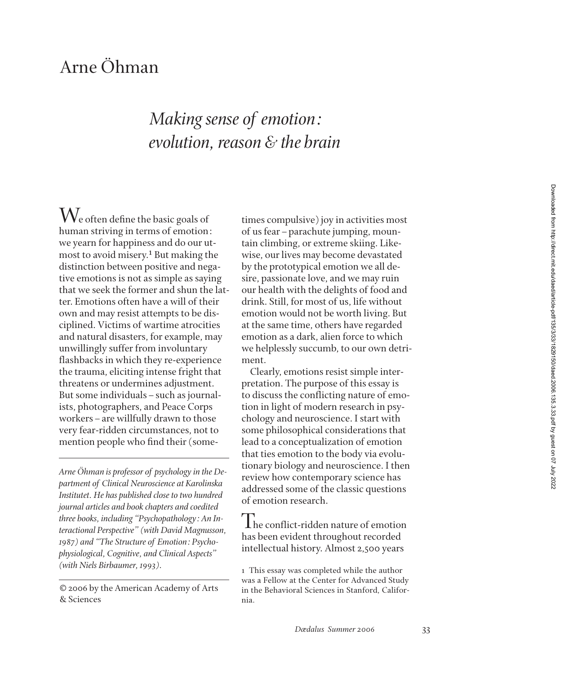## Arne Öhman

# *Making sense of emotion: evolution, reason & the brain*

 $\rm W_{\rm e}$  often define the basic goals of human striving in terms of emotion: we yearn for happiness and do our utmost to avoid misery.<sup>1</sup> But making the distinction between positive and negative emotions is not as simple as saying that we seek the former and shun the latter. Emotions often have a will of their own and may resist attempts to be disciplined. Victims of wartime atrocities and natural disasters, for example, may unwillingly suffer from involuntary flashbacks in which they re-experience the trauma, eliciting intense fright that threatens or undermines adjustment. But some individuals–such as journalists, photographers, and Peace Corps workers–are willfully drawn to those very fear-ridden circumstances, not to mention people who find their (some-

*Arne Öhman is professor of psychology in the Department of Clinical Neuroscience at Karolinska Institutet. He has published close to two hundred journal articles and book chapters and coedited three books, including "Psychopathology: An Interactional Perspective" (with David Magnusson, 1987) and "The Structure of Emotion: Psychophysiological, Cognitive, and Clinical Aspects" (with Niels Birbaumer, 1993).*

times compulsive) joy in activities most of us fear–parachute jumping, mountain climbing, or extreme skiing. Likewise, our lives may become devastated by the prototypical emotion we all desire, passionate love, and we may ruin our health with the delights of food and drink. Still, for most of us, life without emotion would not be worth living. But at the same time, others have regarded emotion as a dark, alien force to which we helplessly succumb, to our own detriment.

Clearly, emotions resist simple interpretation. The purpose of this essay is to discuss the conflicting nature of emotion in light of modern research in psychology and neuroscience. I start with some philosophical considerations that lead to a conceptualization of emotion that ties emotion to the body via evolutionary biology and neuroscience. I then review how contemporary science has addressed some of the classic questions of emotion research.

**The conflict-ridden nature of emotion** has been evident throughout recorded intellectual history. Almost 2,500 years

<sup>© 2006</sup> by the American Academy of Arts & Sciences

<sup>1</sup> This essay was completed while the author was a Fellow at the Center for Advanced Study in the Behavioral Sciences in Stanford, California.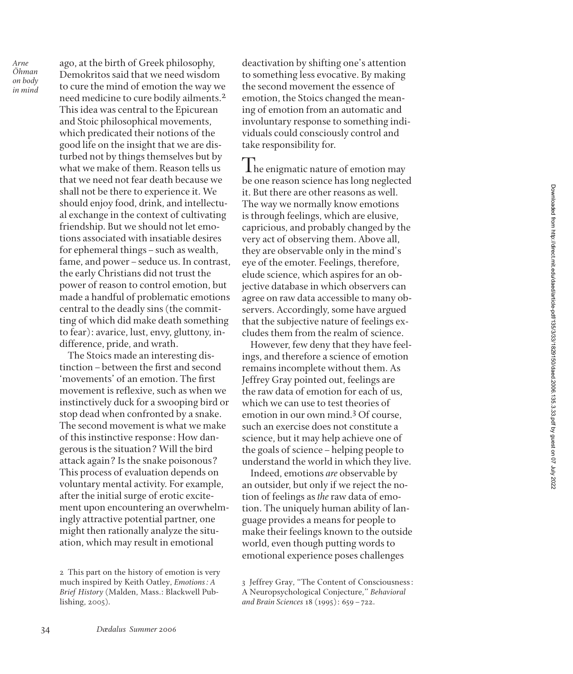ago, at the birth of Greek philosophy, Demokritos said that we need wisdom to cure the mind of emotion the way we need medicine to cure bodily ailments. 2 This idea was central to the Epicurean and Stoic philosophical movements, which predicated their notions of the good life on the insight that we are disturbed not by things themselves but by what we make of them. Reason tells us that we need not fear death because we shall not be there to experience it. We should enjoy food, drink, and intellectual exchange in the context of cultivating friendship. But we should not let emotions associated with insatiable desires for ephemeral things–such as wealth, fame, and power–seduce us. In contrast, the early Christians did not trust the power of reason to control emotion, but made a handful of problematic emotions central to the deadly sins (the committing of which did make death something to fear): avarice, lust, envy, gluttony, indifference, pride, and wrath.

The Stoics made an interesting distinction – between the first and second 'movements' of an emotion. The first movement is reflexive, such as when we instinctively duck for a swooping bird or stop dead when confronted by a snake. The second movement is what we make of this instinctive response: How dangerous is the situation? Will the bird attack again? Is the snake poisonous? This process of evaluation depends on voluntary mental activity. For example, after the initial surge of erotic excitement upon encountering an overwhelmingly attractive potential partner, one might then rationally analyze the situation, which may result in emotional

deactivation by shifting one's attention to something less evocative. By making the second movement the essence of emotion, the Stoics changed the meaning of emotion from an automatic and involuntary response to something individuals could consciously control and take responsibility for.

 $\mathbf I$  he enigmatic nature of emotion may be one reason science has long neglected it. But there are other reasons as well. The way we normally know emotions is through feelings, which are elusive, capricious, and probably changed by the very act of observing them. Above all, they are observable only in the mind's eye of the emoter. Feelings, therefore, elude science, which aspires for an objective database in which observers can agree on raw data accessible to many observers. Accordingly, some have argued that the subjective nature of feelings excludes them from the realm of science.

However, few deny that they have feelings, and therefore a science of emotion remains incomplete without them. As Jeffrey Gray pointed out, feelings are the raw data of emotion for each of us, which we can use to test theories of emotion in our own mind. 3 Of course, such an exercise does not constitute a science, but it may help achieve one of the goals of science–helping people to understand the world in which they live.

Indeed, emotions *are* observable by an outsider, but only if we reject the notion of feelings as *the* raw data of emotion. The uniquely human ability of language provides a means for people to make their feelings known to the outside world, even though putting words to emotional experience poses challenges

<sup>2</sup> This part on the history of emotion is very much inspired by Keith Oatley, *Emotions: A Brief History* (Malden, Mass.: Blackwell Publishing, 2005).

<sup>3</sup> Jeffrey Gray, "The Content of Consciousness: A Neuropsychological Conjecture," *Behavioral and Brain Sciences* 18 (1995): 659–722.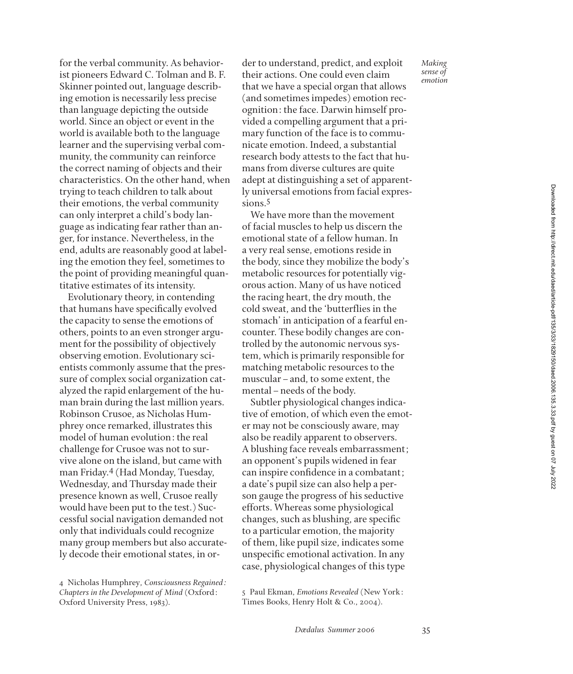for the verbal community. As behaviorist pioneers Edward C. Tolman and B. F. Skinner pointed out, language describing emotion is necessarily less precise than language depicting the outside world. Since an object or event in the world is available both to the language learner and the supervising verbal community, the community can reinforce the correct naming of objects and their characteristics. On the other hand, when trying to teach children to talk about their emotions, the verbal community can only interpret a child's body language as indicating fear rather than anger, for instance. Nevertheless, in the end, adults are reasonably good at labeling the emotion they feel, sometimes to the point of providing meaningful quantitative estimates of its intensity.

Evolutionary theory, in contending that humans have specifically evolved the capacity to sense the emotions of others, points to an even stronger argument for the possibility of objectively observing emotion. Evolutionary scientists commonly assume that the pressure of complex social organization catalyzed the rapid enlargement of the human brain during the last million years. Robinson Crusoe, as Nicholas Humphrey once remarked, illustrates this model of human evolution: the real challenge for Crusoe was not to survive alone on the island, but came with man Friday. 4 (Had Monday, Tuesday, Wednesday, and Thursday made their presence known as well, Crusoe really would have been put to the test.) Successful social navigation demanded not only that individuals could recognize many group members but also accurately decode their emotional states, in order to understand, predict, and exploit their actions. One could even claim that we have a special organ that allows (and sometimes impedes) emotion recognition: the face. Darwin himself provided a compelling argument that a primary function of the face is to communicate emotion. Indeed, a substantial research body attests to the fact that humans from diverse cultures are quite adept at distinguishing a set of apparently universal emotions from facial expressions.5

We have more than the movement of facial muscles to help us discern the emotional state of a fellow human. In a very real sense, emotions reside in the body, since they mobilize the body's metabolic resources for potentially vigorous action. Many of us have noticed the racing heart, the dry mouth, the cold sweat, and the 'butterflies in the stomach' in anticipation of a fearful encounter. These bodily changes are controlled by the autonomic nervous system, which is primarily responsible for matching metabolic resources to the muscular–and, to some extent, the mental–needs of the body.

Subtler physiological changes indicative of emotion, of which even the emoter may not be consciously aware, may also be readily apparent to observers. A blushing face reveals embarrassment; an opponent's pupils widened in fear can inspire confidence in a combatant; a date's pupil size can also help a person gauge the progress of his seductive efforts. Whereas some physiological changes, such as blushing, are specific to a particular emotion, the majority of them, like pupil size, indicates some unspecific emotional activation. In any case, physiological changes of this type

<sup>4</sup> Nicholas Humphrey, *Consciousness Regained: Chapters in the Development of Mind* (Oxford: Oxford University Press, 1983).

<sup>5</sup> Paul Ekman, *Emotions Revealed* (New York: Times Books, Henry Holt & Co., 2004).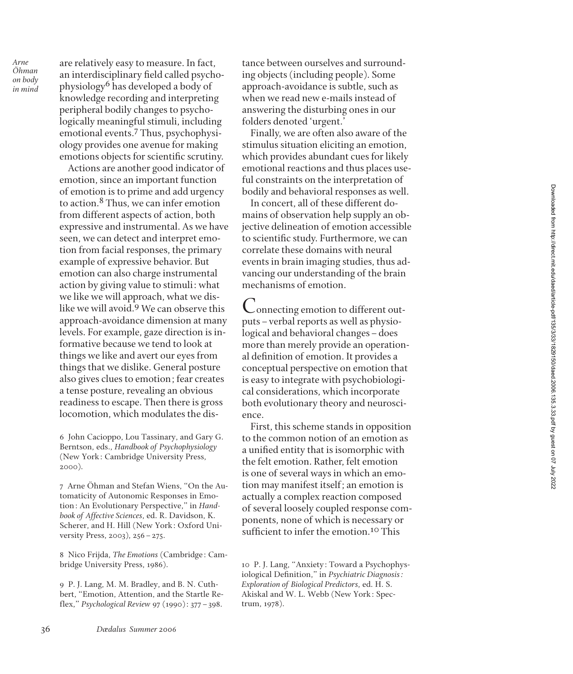are relatively easy to measure. In fact, an interdisciplinary field called psychophysiology6 has developed a body of knowledge recording and interpreting peripheral bodily changes to psychologically meaningful stimuli, including emotional events. 7 Thus, psychophysiology provides one avenue for making emotions objects for scientific scrutiny.

Actions are another good indicator of emotion, since an important function of emotion is to prime and add urgency to action. 8 Thus, we can infer emotion from different aspects of action, both expressive and instrumental. As we have seen, we can detect and interpret emotion from facial responses, the primary example of expressive behavior. But emotion can also charge instrumental action by giving value to stimuli: what we like we will approach, what we dislike we will avoid.9 We can observe this approach-avoidance dimension at many levels. For example, gaze direction is informative because we tend to look at things we like and avert our eyes from things that we dislike. General posture also gives clues to emotion; fear creates a tense posture, revealing an obvious readiness to escape. Then there is gross locomotion, which modulates the dis-

6 John Cacioppo, Lou Tassinary, and Gary G. Berntson, eds., *Handbook of Psychophysiology* (New York: Cambridge University Press, 2000).

7 Arne Öhman and Stefan Wiens, "On the Automaticity of Autonomic Responses in Emotion: An Evolutionary Perspective," in *Handbook of Affective Sciences*, ed. R. Davidson, K. Scherer, and H. Hill (New York: Oxford University Press, 2003), 256–275.

8 Nico Frijda, *The Emotions* (Cambridge: Cambridge University Press, 1986).

9 P. J. Lang, M. M. Bradley, and B. N. Cuthbert, "Emotion, Attention, and the Startle Reflex," *Psychological Review* 97 (1990): 377–398.

tance between ourselves and surrounding objects (including people). Some approach-avoidance is subtle, such as when we read new e-mails instead of answering the disturbing ones in our folders denoted 'urgent.'

Finally, we are often also aware of the stimulus situation eliciting an emotion, which provides abundant cues for likely emotional reactions and thus places useful constraints on the interpretation of bodily and behavioral responses as well.

In concert, all of these different domains of observation help supply an objective delineation of emotion accessible to scientific study. Furthermore, we can correlate these domains with neural events in brain imaging studies, thus advancing our understanding of the brain mechanisms of emotion.

Connecting emotion to different outputs–verbal reports as well as physiological and behavioral changes–does more than merely provide an operational definition of emotion. It provides a conceptual perspective on emotion that is easy to integrate with psychobiological considerations, which incorporate both evolutionary theory and neuroscience.

First, this scheme stands in opposition to the common notion of an emotion as a unified entity that is isomorphic with the felt emotion. Rather, felt emotion is one of several ways in which an emotion may manifest itself; an emotion is actually a complex reaction composed of several loosely coupled response components, none of which is necessary or sufficient to infer the emotion.<sup>10</sup> This

10 P. J. Lang, "Anxiety: Toward a Psychophysiological Definition," in *Psychiatric Diagnosis*: *Exploration of Biological Predictors*, ed. H. S. Akiskal and W. L. Webb (New York: Spectrum, 1978).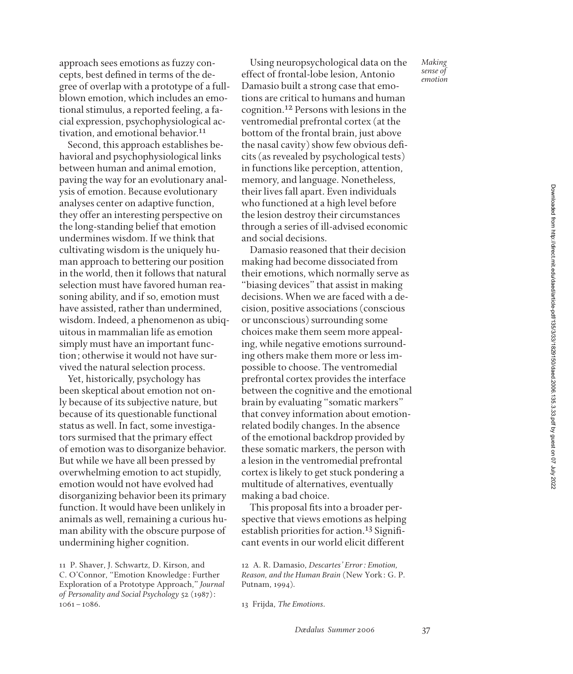approach sees emotions as fuzzy concepts, best defined in terms of the degree of overlap with a prototype of a fullblown emotion, which includes an emotional stimulus, a reported feeling, a facial expression, psychophysiological activation, and emotional behavior.<sup>11</sup>

Second, this approach establishes behavioral and psychophysiological links between human and animal emotion, paving the way for an evolutionary analysis of emotion. Because evolutionary analyses center on adaptive function, they offer an interesting perspective on the long-standing belief that emotion undermines wisdom. If we think that cultivating wisdom is the uniquely human approach to bettering our position in the world, then it follows that natural selection must have favored human reasoning ability, and if so, emotion must have assisted, rather than undermined, wisdom. Indeed, a phenomenon as ubiquitous in mammalian life as emotion simply must have an important function; otherwise it would not have survived the natural selection process.

Yet, historically, psychology has been skeptical about emotion not only because of its subjective nature, but because of its questionable functional status as well. In fact, some investigators surmised that the primary effect of emotion was to disorganize behavior. But while we have all been pressed by overwhelming emotion to act stupidly, emotion would not have evolved had disorganizing behavior been its primary function. It would have been unlikely in animals as well, remaining a curious human ability with the obscure purpose of undermining higher cognition.

11 P. Shaver, J. Schwartz, D. Kirson, and C. O'Connor, "Emotion Knowledge: Further Exploration of a Prototype Approach," *Journal of Personality and Social Psychology* 52 (1987): 1061–1086.

Using neuropsychological data on the effect of frontal-lobe lesion, Antonio Damasio built a strong case that emotions are critical to humans and human cognition.12 Persons with lesions in the ventromedial prefrontal cortex (at the bottom of the frontal brain, just above the nasal cavity) show few obvious deficits (as revealed by psychological tests) in functions like perception, attention, memory, and language. Nonetheless, their lives fall apart. Even individuals who functioned at a high level before the lesion destroy their circumstances through a series of ill-advised economic and social decisions.

Damasio reasoned that their decision making had become dissociated from their emotions, which normally serve as "biasing devices" that assist in making decisions. When we are faced with a decision, positive associations (conscious or unconscious) surrounding some choices make them seem more appealing, while negative emotions surrounding others make them more or less impossible to choose. The ventromedial prefrontal cortex provides the interface between the cognitive and the emotional brain by evaluating "somatic markers" that convey information about emotionrelated bodily changes. In the absence of the emotional backdrop provided by these somatic markers, the person with a lesion in the ventromedial prefrontal cortex is likely to get stuck pondering a multitude of alternatives, eventually making a bad choice.

This proposal fits into a broader perspective that views emotions as helping establish priorities for action.<sup>13</sup> Significant events in our world elicit different

12 A. R. Damasio, *Descartes' Error: Emotion, Reason, and the Human Brain* (New York: G. P. Putnam, 1994).

13 Frijda, *The Emotions* .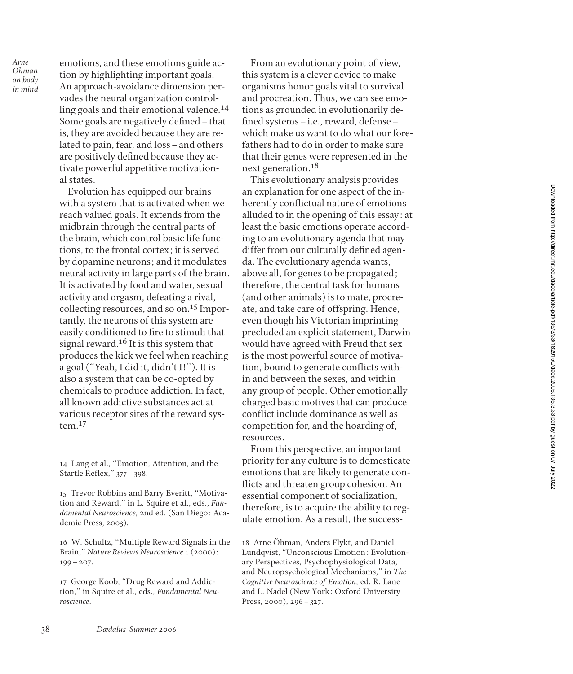emotions, and these emotions guide action by highlighting important goals. An approach-avoidance dimension pervades the neural organization controlling goals and their emotional valence.<sup>14</sup> Some goals are negatively defined – that is, they are avoided because they are related to pain, fear, and loss–and others are positively defined because they activate powerful appetitive motivational states.

Evolution has equipped our brains with a system that is activated when we reach valued goals. It extends from the midbrain through the central parts of the brain, which control basic life functions, to the frontal cortex; it is served by dopamine neurons; and it modulates neural activity in large parts of the brain. It is activated by food and water, sexual activity and orgasm, defeating a rival, collecting resources, and so on.15 Importantly, the neurons of this system are easily conditioned to fire to stimuli that signal reward.16 It is this system that produces the kick we feel when reaching a goal ("Yeah, I did it, didn't I!"). It is also a system that can be co-opted by chemicals to produce addiction. In fact, all known addictive substances act at various receptor sites of the reward system.17

14 Lang et al., "Emotion, Attention, and the Startle Reflex," 377–398.

15 Trevor Robbins and Barry Everitt, "Motivation and Reward," in L. Squire et al., eds., *Fundamental Neuroscience*, 2nd ed. (San Diego: Academic Press, 2003).

16 W. Schultz, "Multiple Reward Signals in the Brain," *Nature Reviews Neuroscience* 1 (2000):  $199 - 207.$ 

17 George Koob, "Drug Reward and Addiction," in Squire et al., eds., *Fundamental Neuroscience*.

From an evolutionary point of view, this system is a clever device to make organisms honor goals vital to survival and procreation. Thus, we can see emotions as grounded in evolutionarily de fined systems – i.e., reward, defense – which make us want to do what our forefathers had to do in order to make sure that their genes were represented in the next generation.<sup>18</sup>

This evolutionary analysis provides an explanation for one aspect of the inherently conflictual nature of emotions alluded to in the opening of this essay: at least the basic emotions operate according to an evolutionary agenda that may differ from our culturally defined agenda. The evolutionary agenda wants, above all, for genes to be propagated; therefore, the central task for humans (and other animals) is to mate, procreate, and take care of offspring. Hence, even though his Victorian imprinting precluded an explicit statement, Darwin would have agreed with Freud that sex is the most powerful source of motivation, bound to generate conflicts within and between the sexes, and within any group of people. Other emotionally charged basic motives that can produce conflict include dominance as well as competition for, and the hoarding of, resources.

From this perspective, an important priority for any culture is to domesticate emotions that are likely to generate conflicts and threaten group cohesion. An essential component of socialization, therefore, is to acquire the ability to regulate emotion. As a result, the success-

18 Arne Öhman, Anders Flykt, and Daniel Lundqvist, "Unconscious Emotion: Evolutionary Perspectives, Psychophysiological Data, and Neuropsychological Mechanisms," in *The Cognitive Neuroscience of Emotion*, ed. R. Lane and L. Nadel (New York: Oxford University Press, 2000), 296–327.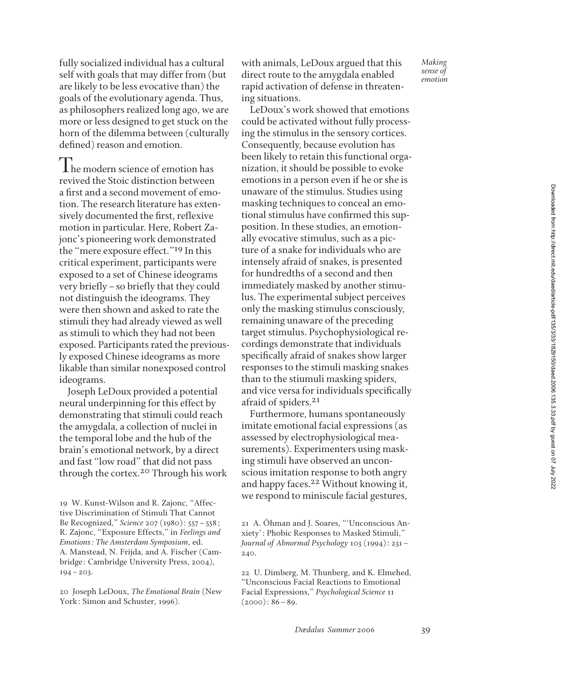fully socialized individual has a cultural self with goals that may differ from (but are likely to be less evocative than) the goals of the evolutionary agenda. Thus, as philosophers realized long ago, we are more or less designed to get stuck on the horn of the dilemma between (culturally defined) reason and emotion.

The modern science of emotion has revived the Stoic distinction between a first and a second movement of emotion. The research literature has extensively documented the first, reflexive motion in particular. Here, Robert Zajonc's pioneering work demonstrated the "mere exposure effect."19 In this critical experiment, participants were exposed to a set of Chinese ideograms very briefly–so briefly that they could not distinguish the ideograms. They were then shown and asked to rate the stimuli they had already viewed as well as stimuli to which they had not been exposed. Participants rated the previously exposed Chinese ideograms as more likable than similar nonexposed control ideograms.

Joseph LeDoux provided a potential neural underpinning for this effect by demonstrating that stimuli could reach the amygdala, a collection of nuclei in the temporal lobe and the hub of the brain's emotional network, by a direct and fast "low road" that did not pass through the cortex.20 Through his work

20 Joseph LeDoux, *The Emotional Brain* (New York: Simon and Schuster, 1996).

with animals, LeDoux argued that this direct route to the amygdala enabled rapid activation of defense in threatening situations.

LeDoux's work showed that emotions could be activated without fully processing the stimulus in the sensory cortices. Consequently, because evolution has been likely to retain this functional organization, it should be possible to evoke emotions in a person even if he or she is unaware of the stimulus. Studies using masking techniques to conceal an emotional stimulus have confirmed this supposition. In these studies, an emotionally evocative stimulus, such as a picture of a snake for individuals who are intensely afraid of snakes, is presented for hundredths of a second and then immediately masked by another stimulus. The experimental subject perceives only the masking stimulus consciously, remaining unaware of the preceding target stimulus. Psychophysiological recordings demonstrate that individuals specifically afraid of snakes show larger responses to the stimuli masking snakes than to the stiumuli masking spiders, and vice versa for individuals specifically afraid of spiders.21

Furthermore, humans spontaneously imitate emotional facial expressions (as assessed by electrophysiological measurements). Experimenters using masking stimuli have observed an unconscious imitation response to both angry and happy faces.22 Without knowing it, we respond to miniscule facial gestures,

22 U. Dimberg, M. Thunberg, and K. Elmehed, "Unconscious Facial Reactions to Emotional Facial Expressions," *Psychological Science* 11  $(2000): 86-89.$ 

<sup>19</sup> W. Kunst-Wilson and R. Zajonc, "Affective Discrimination of Stimuli That Cannot Be Recognized," *Science* 207 (1980): 557–558; R. Zajonc, "Exposure Effects," in *Feelings and Emotions: The Amsterdam Symposium*, ed. A. Manstead, N. Frijda, and A. Fischer (Cambridge: Cambridge University Press, 2004), 194–203.

<sup>21</sup> A. Öhman and J. Soares, "'Unconscious Anxiety': Phobic Responses to Masked Stimuli," *Journal of Abnormal Psychology* 103 (1994): 231– 240.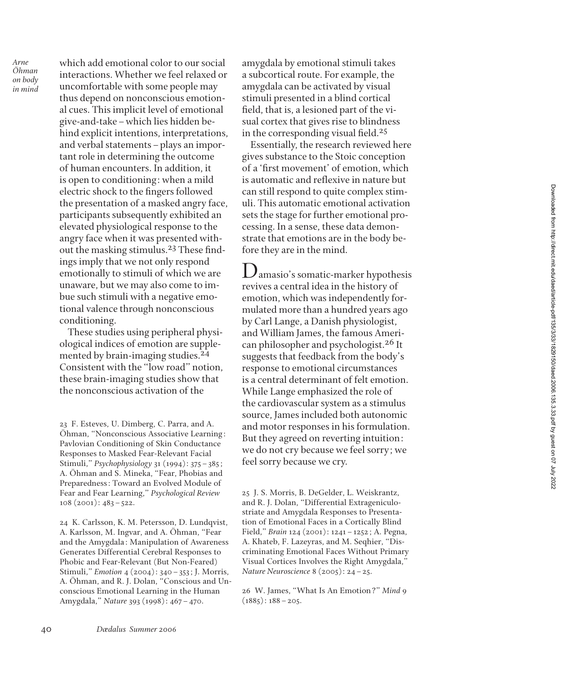which add emotional color to our social interactions. Whether we feel relaxed or uncomfortable with some people may thus depend on nonconscious emotional cues. This implicit level of emotional give-and-take–which lies hidden behind explicit intentions, interpretations, and verbal statements–plays an important role in determining the outcome of human encounters. In addition, it is open to conditioning: when a mild electric shock to the fingers followed the presentation of a masked angry face, participants subsequently exhibited an elevated physiological response to the angry face when it was presented without the masking stimulus.<sup>23</sup> These findings imply that we not only respond emotionally to stimuli of which we are unaware, but we may also come to imbue such stimuli with a negative emotional valence through nonconscious conditioning.

These studies using peripheral physiological indices of emotion are supplemented by brain-imaging studies.<sup>24</sup> Consistent with the "low road" notion, these brain-imaging studies show that the nonconscious activation of the

24 K. Carlsson, K. M. Petersson, D. Lundqvist, A. Karlsson, M. Ingvar, and A. Öhman, "Fear and the Amygdala: Manipulation of Awareness Generates Differential Cerebral Responses to Phobic and Fear-Relevant (But Non-Feared) Stimuli," *Emotion* 4 (2004): 340–353; J. Morris, A. Öhman, and R. J. Dolan, "Conscious and Unconscious Emotional Learning in the Human Amygdala," *Nature* 393 (1998): 467–470.

amygdala by emotional stimuli takes a subcortical route. For example, the amygdala can be activated by visual stimuli presented in a blind cortical field, that is, a lesioned part of the visual cortex that gives rise to blindness in the corresponding visual field.<sup>25</sup>

Essentially, the research reviewed here gives substance to the Stoic conception of a 'first movement' of emotion, which is automatic and reflexive in nature but can still respond to quite complex stimuli. This automatic emotional activation sets the stage for further emotional processing. In a sense, these data demonstrate that emotions are in the body before they are in the mind.

 $D$ amasio's somatic-marker hypothesis revives a central idea in the history of emotion, which was independently formulated more than a hundred years ago by Carl Lange, a Danish physiologist, and William James, the famous American philosopher and psychologist.26 It suggests that feedback from the body's response to emotional circumstances is a central determinant of felt emotion. While Lange emphasized the role of the cardiovascular system as a stimulus source, James included both autonomic and motor responses in his formulation. But they agreed on reverting intuition: we do not cry because we feel sorry; we feel sorry because we cry.

25 J. S. Morris, B. DeGelder, L. Weiskrantz, and R. J. Dolan, "Differential Extrageniculostriate and Amygdala Responses to Presentation of Emotional Faces in a Cortically Blind Field," *Brain* 124 (2001): 1241–1252; A. Pegna, A. Khateb, F. Lazeyras, and M. Seqhier, "Discriminating Emotional Faces Without Primary Visual Cortices Involves the Right Amygdala," *Nature Neuroscience* 8 (2005): 24–25.

26 W. James, "What Is An Emotion?" *Mind* 9  $(1885): 188 - 205.$ 

<sup>23</sup> F. Esteves, U. Dimberg, C. Parra, and A. Öhman, "Nonconscious Associative Learning: Pavlovian Conditioning of Skin Conductance Responses to Masked Fear-Relevant Facial Stimuli," *Psychophysiology* 31 (1994): 375–385; A. Öhman and S. Mineka, "Fear, Phobias and Preparedness: Toward an Evolved Module of Fear and Fear Learning," *Psychological Review*  $108 (2001): 483 - 522.$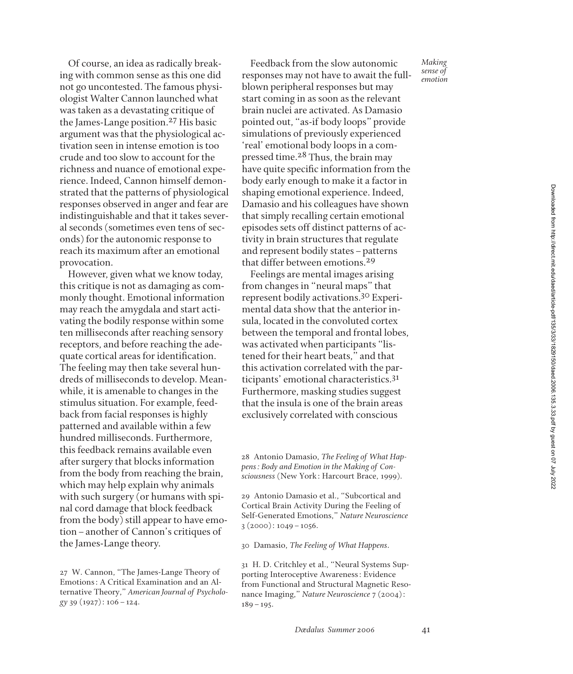Of course, an idea as radically breaking with common sense as this one did not go uncontested. The famous physiologist Walter Cannon launched what was taken as a devastating critique of the James-Lange position.27 His basic argument was that the physiological activation seen in intense emotion is too crude and too slow to account for the richness and nuance of emotional experience. Indeed, Cannon himself demonstrated that the patterns of physiological responses observed in anger and fear are indistinguishable and that it takes several seconds (sometimes even tens of seconds) for the autonomic response to reach its maximum after an emotional provocation.

However, given what we know today, this critique is not as damaging as commonly thought. Emotional information may reach the amygdala and start activating the bodily response within some ten milliseconds after reaching sensory receptors, and before reaching the adequate cortical areas for identification. The feeling may then take several hundreds of milliseconds to develop. Meanwhile, it is amenable to changes in the stimulus situation. For example, feedback from facial responses is highly patterned and available within a few hundred milliseconds. Furthermore, this feedback remains available even after surgery that blocks information from the body from reaching the brain, which may help explain why animals with such surgery (or humans with spinal cord damage that block feedback from the body) still appear to have emotion–another of Cannon's critiques of the James-Lange theory.

27 W. Cannon, "The James-Lange Theory of Emotions: A Critical Examination and an Alternative Theory," *American Journal of Psychology* 39 (1927): 106–124.

Feedback from the slow autonomic responses may not have to await the fullblown peripheral responses but may start coming in as soon as the relevant brain nuclei are activated. As Damasio pointed out, "as-if body loops" provide simulations of previously experienced 'real' emotional body loops in a compressed time.<sup>28</sup> Thus, the brain may have quite specific information from the body early enough to make it a factor in shaping emotional experience. Indeed, Damasio and his colleagues have shown that simply recalling certain emotional episodes sets off distinct patterns of activity in brain structures that regulate and represent bodily states–patterns that differ between emotions.29

Feelings are mental images arising from changes in "neural maps" that represent bodily activations.30 Experimental data show that the anterior insula, located in the convoluted cortex between the temporal and frontal lobes, was activated when participants "listened for their heart beats," and that this activation correlated with the participants' emotional characteristics.31 Furthermore, masking studies suggest that the insula is one of the brain areas exclusively correlated with conscious

28 Antonio Damasio, *The Feeling of What Happens: Body and Emotion in the Making of Consciousness* (New York: Harcourt Brace, 1999).

29 Antonio Damasio et al., "Subcortical and Cortical Brain Activity During the Feeling of Self-Generated Emotions," *Nature Neuroscience*  $3(2000): 1049 - 1056.$ 

30 Damasio, *The Feeling of What Happens* .

31 H. D. Critchley et al., "Neural Systems Supporting Interoceptive Awareness: Evidence from Functional and Structural Magnetic Resonance Imaging," *Nature Neuroscience* 7 (2004):  $189 - 195.$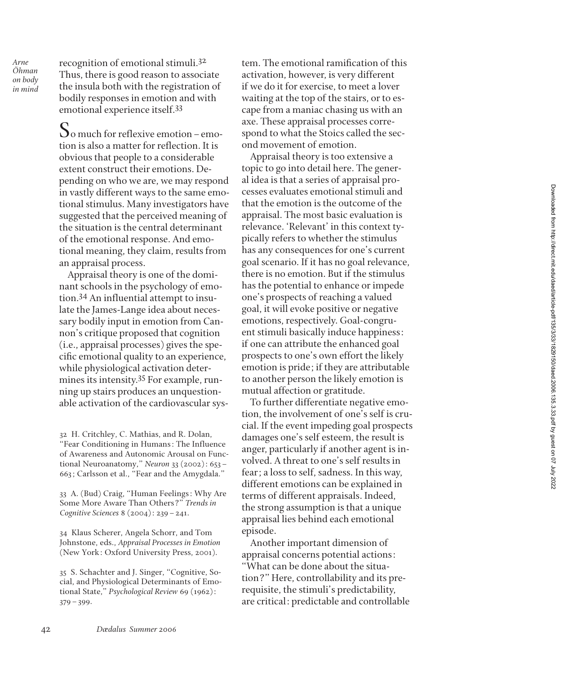recognition of emotional stimuli.32 Thus, there is good reason to associate the insula both with the registration of bodily responses in emotion and with emotional experience itself.33

So much for reflexive emotion–emotion is also a matter for reflection. It is obvious that people to a considerable extent construct their emotions. Depending on who we are, we may respond in vastly different ways to the same emotional stimulus. Many investigators have suggested that the perceived meaning of the situation is the central determinant of the emotional response. And emotional meaning, they claim, results from an appraisal process.

Appraisal theory is one of the dominant schools in the psychology of emotion.34 An influential attempt to insulate the James-Lange idea about necessary bodily input in emotion from Cannon's critique proposed that cognition (i.e., appraisal processes) gives the specific emotional quality to an experience, while physiological activation determines its intensity.35 For example, running up stairs produces an unquestionable activation of the cardiovascular sys-

32 H. Critchley, C. Mathias, and R. Dolan, "Fear Conditioning in Humans: The Influence of Awareness and Autonomic Arousal on Functional Neuroanatomy," *Neuron* 33 (2002): 653– 663; Carlsson et al., "Fear and the Amygdala."

33 A. (Bud) Craig, "Human Feelings: Why Are Some More Aware Than Others?" *Trends in Cognitive Sciences* 8 (2004): 239–241.

34 Klaus Scherer, Angela Schorr, and Tom Johnstone, eds., *Appraisal Processes in Emotion* (New York: Oxford University Press, 2001).

35 S. Schachter and J. Singer, "Cognitive, Social, and Physiological Determinants of Emotional State," *Psychological Review* 69 (1962): 379–399.

tem. The emotional ramification of this activation, however, is very different if we do it for exercise, to meet a lover waiting at the top of the stairs, or to escape from a maniac chasing us with an axe. These appraisal processes correspond to what the Stoics called the second movement of emotion.

Appraisal theory is too extensive a topic to go into detail here. The general idea is that a series of appraisal processes evaluates emotional stimuli and that the emotion is the outcome of the appraisal. The most basic evaluation is relevance. 'Relevant' in this context typically refers to whether the stimulus has any consequences for one's current goal scenario. If it has no goal relevance, there is no emotion. But if the stimulus has the potential to enhance or impede one's prospects of reaching a valued goal, it will evoke positive or negative emotions, respectively. Goal-congruent stimuli basically induce happiness: if one can attribute the enhanced goal prospects to one's own effort the likely emotion is pride; if they are attributable to another person the likely emotion is mutual affection or gratitude.

To further differentiate negative emotion, the involvement of one's self is crucial. If the event impeding goal prospects damages one's self esteem, the result is anger, particularly if another agent is involved. A threat to one's self results in fear; a loss to self, sadness. In this way, different emotions can be explained in terms of different appraisals. Indeed, the strong assumption is that a unique appraisal lies behind each emotional episode.

Another important dimension of appraisal concerns potential actions: "What can be done about the situation?" Here, controllability and its prerequisite, the stimuli's predictability, are critical: predictable and controllable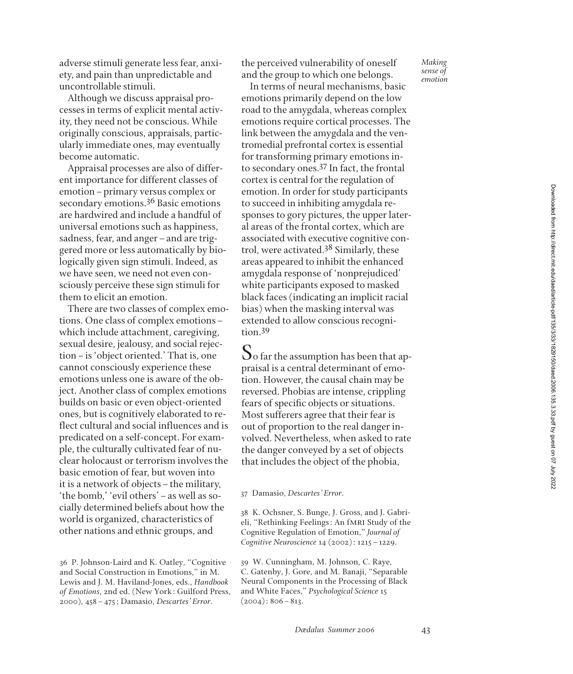adverse stimuli generate less fear, anxiety, and pain than unpredictable and uncontrollable stimuli.

Although we discuss appraisal processes in terms of explicit mental activity, they need not be conscious. While originally conscious, appraisals, particularly immediate ones, may eventually become automatic.

Appraisal processes are also of different importance for different classes of emotion–primary versus complex or secondary emotions.<sup>36</sup> Basic emotions are hardwired and include a handful of universal emotions such as happiness, sadness, fear, and anger–and are triggered more or less automatically by biologically given sign stimuli. Indeed, as we have seen, we need not even consciously perceive these sign stimuli for them to elicit an emotion.

There are two classes of complex emotions. One class of complex emotions– which include attachment, caregiving, sexual desire, jealousy, and social rejection–is 'object oriented.' That is, one cannot consciously experience these emotions unless one is aware of the object. Another class of complex emotions builds on basic or even object-oriented ones, but is cognitively elaborated to reflect cultural and social influences and is predicated on a self-concept. For example, the culturally cultivated fear of nuclear holocaust or terrorism involves the basic emotion of fear, but woven into it is a network of objects–the military, 'the bomb,' 'evil others'–as well as socially determined beliefs about how the world is organized, characteristics of other nations and ethnic groups, and

36 P. Johnson-Laird and K. Oatley, "Cognitive and Social Construction in Emotions," in M. Lewis and J. M. Haviland-Jones, eds., *Handbook of Emotions*, 2nd ed. (New York: Guilford Press, 2000), 458–475; Damasio, *Descartes' Error* .

the perceived vulnerability of oneself and the group to which one belongs.

In terms of neural mechanisms, basic emotions primarily depend on the low road to the amygdala, whereas complex emotions require cortical processes. The link between the amygdala and the ventromedial prefrontal cortex is essential for transforming primary emotions into secondary ones.37 In fact, the frontal cortex is central for the regulation of emotion. In order for study participants to succeed in inhibiting amygdala responses to gory pictures, the upper lateral areas of the frontal cortex, which are associated with executive cognitive control, were activated.38 Similarly, these areas appeared to inhibit the enhanced amygdala response of 'nonprejudiced' white participants exposed to masked black faces (indicating an implicit racial bias) when the masking interval was extended to allow conscious recognition.39

 $\mathbf S$ o far the assumption has been that appraisal is a central determinant of emotion. However, the causal chain may be reversed. Phobias are intense, crippling fears of specific objects or situations. Most sufferers agree that their fear is out of proportion to the real danger involved. Nevertheless, when asked to rate the danger conveyed by a set of objects that includes the object of the phobia,

### 37 Damasio, *Descartes' Error* .

38 K. Ochsner, S. Bunge, J. Gross, and J. Gabrieli, "Rethinking Feelings: An fmri Study of the Cognitive Regulation of Emotion," *Journal of Cognitive Neuroscience* 14 (2002): 1215–1229.

39 W. Cunningham, M. Johnson, C. Raye, C. Gatenby, J. Gore, and M. Banaji, "Separable Neural Components in the Processing of Black and White Faces," *Psychological Science* 15  $(2004): 806 - 813.$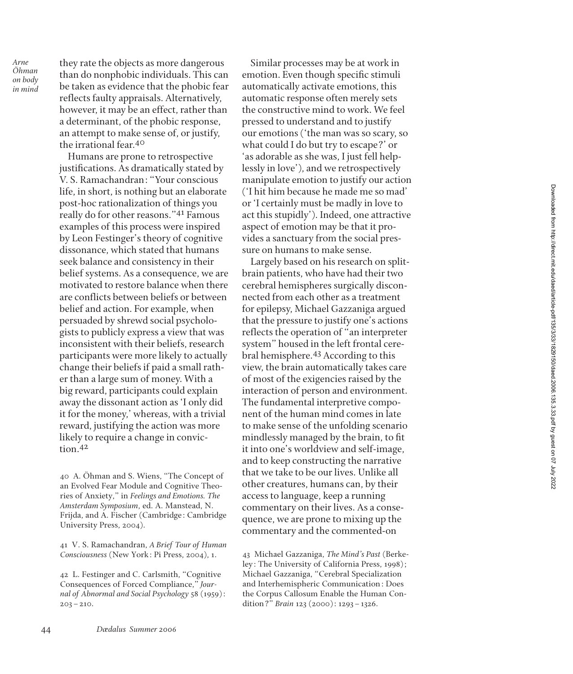they rate the objects as more dangerous than do nonphobic individuals. This can be taken as evidence that the phobic fear reflects faulty appraisals. Alternatively, however, it may be an effect, rather than a determinant, of the phobic response, an attempt to make sense of, or justify, the irrational fear.40

Humans are prone to retrospective justifications. As dramatically stated by V. S. Ramachandran: "Your conscious life, in short, is nothing but an elaborate post-hoc rationalization of things you really do for other reasons."41 Famous examples of this process were inspired by Leon Festinger's theory of cognitive dissonance, which stated that humans seek balance and consistency in their belief systems. As a consequence, we are motivated to restore balance when there are conflicts between beliefs or between belief and action. For example, when persuaded by shrewd social psychologists to publicly express a view that was inconsistent with their beliefs, research participants were more likely to actually change their beliefs if paid a small rather than a large sum of money. With a big reward, participants could explain away the dissonant action as 'I only did it for the money,' whereas, with a trivial reward, justifying the action was more likely to require a change in conviction.42

40 A. Öhman and S. Wiens, "The Concept of an Evolved Fear Module and Cognitive Theories of Anxiety," in *Feelings and Emotions. The Amsterdam Symposium*, ed. A. Manstead, N. Frijda, and A. Fischer (Cambridge: Cambridge University Press, 2004).

41 V. S. Ramachandran, *A Brief Tour of Human Consciousness* (New York: Pi Press, 2004), 1.

42 L. Festinger and C. Carlsmith, "Cognitive Consequences of Forced Compliance," *Journal of Abnormal and Social Psychology* 58 (1959):  $203 - 210$ .

Similar processes may be at work in emotion. Even though specific stimuli automatically activate emotions, this automatic response often merely sets the constructive mind to work. We feel pressed to understand and to justify our emotions ('the man was so scary, so what could I do but try to escape?' or 'as adorable as she was, I just fell helplessly in love'), and we retrospectively manipulate emotion to justify our action ('I hit him because he made me so mad' or 'I certainly must be madly in love to act this stupidly'). Indeed, one attractive aspect of emotion may be that it provides a sanctuary from the social pressure on humans to make sense.

Largely based on his research on splitbrain patients, who have had their two cerebral hemispheres surgically disconnected from each other as a treatment for epilepsy, Michael Gazzaniga argued that the pressure to justify one's actions reflects the operation of "an interpreter system" housed in the left frontal cerebral hemisphere.<sup>43</sup> According to this view, the brain automatically takes care of most of the exigencies raised by the interaction of person and environment. The fundamental interpretive component of the human mind comes in late to make sense of the unfolding scenario mindlessly managed by the brain, to fit it into one's worldview and self-image, and to keep constructing the narrative that we take to be our lives. Unlike all other creatures, humans can, by their access to language, keep a running commentary on their lives. As a consequence, we are prone to mixing up the commentary and the commented-on

43 Michael Gazzaniga, *The Mind's Past* (Berkeley: The University of California Press, 1998); Michael Gazzaniga, "Cerebral Specialization and Interhemispheric Communication: Does the Corpus Callosum Enable the Human Condition?" *Brain* 123 (2000): 1293–1326.